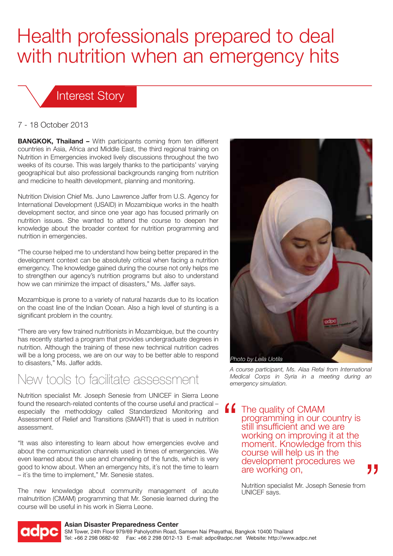# Health professionals prepared to deal with nutrition when an emergency hits

### Interest Story

#### 7 - 18 October 2013

**BANGKOK, Thailand –** With participants coming from ten different countries in Asia, Africa and Middle East, the third regional training on Nutrition in Emergencies invoked lively discussions throughout the two weeks of its course. This was largely thanks to the participants' varying geographical but also professional backgrounds ranging from nutrition and medicine to health development, planning and monitoring.

Nutrition Division Chief Ms. Juno Lawrence Jaffer from U.S. Agency for International Development (USAID) in Mozambique works in the health development sector, and since one year ago has focused primarily on nutrition issues. She wanted to attend the course to deepen her knowledge about the broader context for nutrition programming and nutrition in emergencies.

"The course helped me to understand how being better prepared in the development context can be absolutely critical when facing a nutrition emergency. The knowledge gained during the course not only helps me to strengthen our agency's nutrition programs but also to understand how we can minimize the impact of disasters," Ms. Jaffer says.

Mozambique is prone to a variety of natural hazards due to its location on the coast line of the Indian Ocean. Also a high level of stunting is a significant problem in the country.

"There are very few trained nutritionists in Mozambique, but the country has recently started a program that provides undergraduate degrees in nutrition. Although the training of these new technical nutrition cadres will be a long process, we are on our way to be better able to respond to disasters," Ms. Jaffer adds.

## New tools to facilitate assessment

Nutrition specialist Mr. Joseph Senesie from UNICEF in Sierra Leone found the research-related contents of the course useful and practical – especially the methodology called Standardized Monitoring and Assessment of Relief and Transitions (SMART) that is used in nutrition assessment.

"It was also interesting to learn about how emergencies evolve and about the communication channels used in times of emergencies. We even learned about the use and channeling of the funds, which is very good to know about. When an emergency hits, it´s not the time to learn – it´s the time to implement," Mr. Senesie states.

The new knowledge about community management of acute malnutrition (CMAM) programming that Mr. Senesie learned during the course will be useful in his work in Sierra Leone.



*A course participant, Ms. Alaa Refai from International Medical Corps in Syria in a meeting during an emergency simulation.*

" The quality of CMAM programming in our country is still insufficient and we are working on improving it at the moment. Knowledge from this course will help us in the development procedures we are working on,

> Nutrition specialist Mr. Joseph Senesie from UNICEF says.



#### **Asian Disaster Preparedness Center**

SM Tower, 24th Floor 979/69 Paholyothin Road, Samsen Nai Phayathai, Bangkok 10400 Thailand Tel: +66 2 298 0682-92 Fax: +66 2 298 0012-13 E-mail: adpc@adpc.net Website: http://www.adpc.net